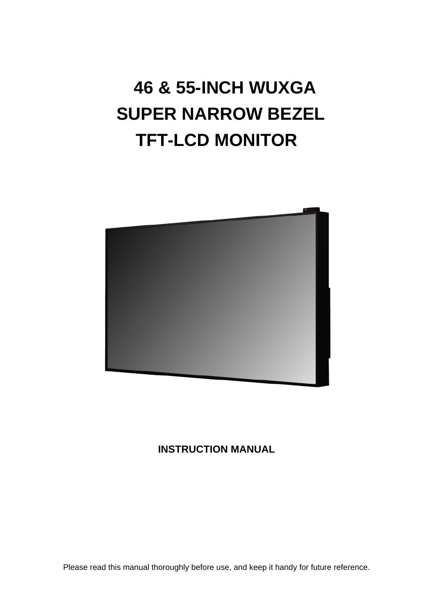### **46 & 55-INCH WUXGA SUPER NARROW BEZEL TFT-LCD MONITOR**



### **INSTRUCTION MANUAL**

Please read this manual thoroughly before use, and keep it handy for future reference.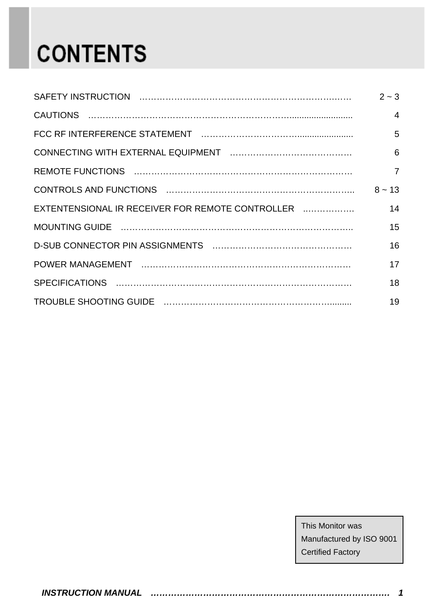## **CONTENTS**

|                                                  | $2 - 3$        |
|--------------------------------------------------|----------------|
|                                                  | $\overline{4}$ |
|                                                  | 5              |
|                                                  | 6              |
|                                                  | $\overline{7}$ |
|                                                  | $8 \sim 13$    |
| EXTENTENSIONAL IR RECEIVER FOR REMOTE CONTROLLER | 14             |
|                                                  | 15             |
|                                                  | 16             |
|                                                  | 17             |
|                                                  | 18             |
|                                                  | 19             |

This Monitor was Manufactured by ISO 9001 Certified Factory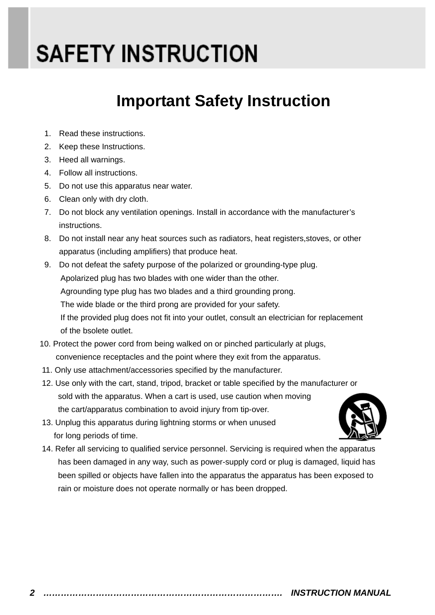## **SAFETY INSTRUCTION**

### **Important Safety Instruction**

- 1. Read these instructions.
- 2. Keep these Instructions.
- 3. Heed all warnings.
- 4. Follow all instructions.
- 5. Do not use this apparatus near water.
- 6. Clean only with dry cloth.
- 7. Do not block any ventilation openings. Install in accordance with the manufacturer's instructions.
- 8. Do not install near any heat sources such as radiators, heat registers,stoves, or other apparatus (including amplifiers) that produce heat.
- 9. Do not defeat the safety purpose of the polarized or grounding-type plug. Apolarized plug has two blades with one wider than the other. Agrounding type plug has two blades and a third grounding prong. The wide blade or the third prong are provided for your safety. If the provided plug does not fit into your outlet, consult an electrician for replacement of the bsolete outlet.
- 10. Protect the power cord from being walked on or pinched particularly at plugs, convenience receptacles and the point where they exit from the apparatus.
- 11. Only use attachment/accessories specified by the manufacturer.
- 12. Use only with the cart, stand, tripod, bracket or table specified by the manufacturer or sold with the apparatus. When a cart is used, use caution when moving the cart/apparatus combination to avoid injury from tip-over.
- 13. Unplug this apparatus during lightning storms or when unused for long periods of time.
- 14. Refer all servicing to qualified service personnel. Servicing is required when the apparatus has been damaged in any way, such as power-supply cord or plug is damaged, liquid has been spilled or objects have fallen into the apparatus the apparatus has been exposed to rain or moisture does not operate normally or has been dropped.

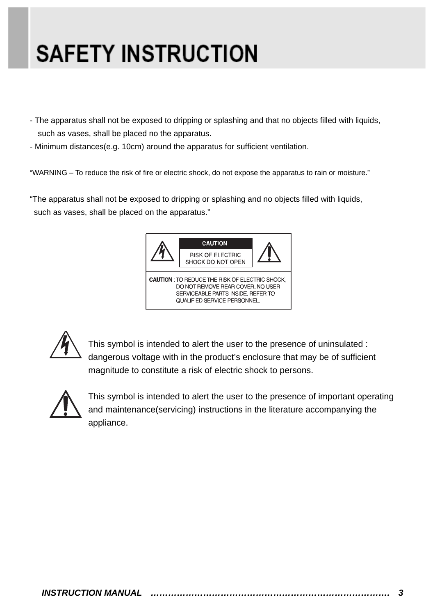## **SAFETY INSTRUCTION**

- The apparatus shall not be exposed to dripping or splashing and that no objects filled with liquids, such as vases, shall be placed no the apparatus.
- Minimum distances(e.g. 10cm) around the apparatus for sufficient ventilation.

"WARNING – To reduce the risk of fire or electric shock, do not expose the apparatus to rain or moisture."

"The apparatus shall not be exposed to dripping or splashing and no objects filled with liquids, such as vases, shall be placed on the apparatus."





This symbol is intended to alert the user to the presence of uninsulated : dangerous voltage with in the product's enclosure that may be of sufficient magnitude to constitute a risk of electric shock to persons.



This symbol is intended to alert the user to the presence of important operating and maintenance(servicing) instructions in the literature accompanying the appliance.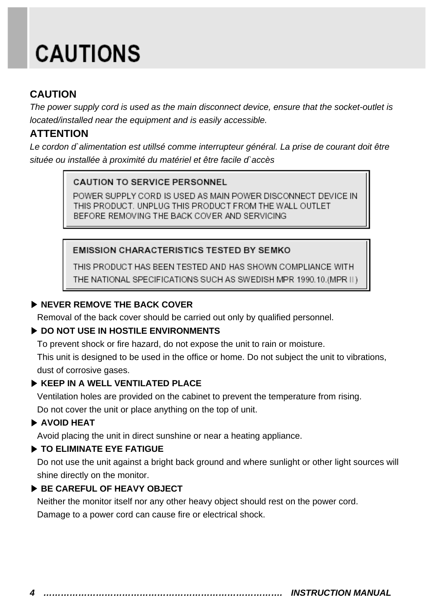## **CAUTIONS**

### **CAUTION**

*The power supply cord is used as the main disconnect device, ensure that the socket-outlet is located/installed near the equipment and is easily accessible.* 

### **ATTENTION**

*Le cordon d`alimentation est utillsé comme interrupteur général. La prise de courant doit être située ou installée à proximité du matériel et être facile d`accès*

#### **CAUTION TO SERVICE PERSONNEL**

POWER SUPPLY CORD IS USED AS MAIN POWER DISCONNECT DEVICE IN THIS PRODUCT. UNPLUG THIS PRODUCT FROM THE WALL OUTLET BEFORE REMOVING THE BACK COVER AND SERVICING

#### **EMISSION CHARACTERISTICS TESTED BY SEMKO**

THIS PRODUCT HAS BEEN TESTED AND HAS SHOWN COMPLIANCE WITH THE NATIONAL SPECIFICATIONS SUCH AS SWEDISH MPR 1990.10.(MPR II)

### ▶ **NEVER REMOVE THE BACK COVER**

Removal of the back cover should be carried out only by qualified personnel.

#### ▶ **DO NOT USE IN HOSTILE ENVIRONMENTS**

To prevent shock or fire hazard, do not expose the unit to rain or moisture.

This unit is designed to be used in the office or home. Do not subject the unit to vibrations, dust of corrosive gases.

#### ▶ **KEEP IN A WELL VENTILATED PLACE**

Ventilation holes are provided on the cabinet to prevent the temperature from rising.

Do not cover the unit or place anything on the top of unit.

#### ▶ **AVOID HEAT**

Avoid placing the unit in direct sunshine or near a heating appliance.

#### ▶ **TO ELIMINATE EYE FATIGUE**

Do not use the unit against a bright back ground and where sunlight or other light sources will shine directly on the monitor.

#### ▶ **BE CAREFUL OF HEAVY OBJECT**

Neither the monitor itself nor any other heavy object should rest on the power cord. Damage to a power cord can cause fire or electrical shock.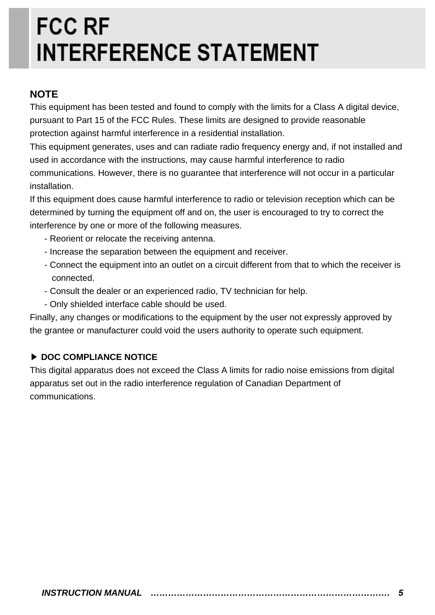## **FCC RF INTERFERENCE STATEMENT**

#### **NOTE**

This equipment has been tested and found to comply with the limits for a Class A digital device, pursuant to Part 15 of the FCC Rules. These limits are designed to provide reasonable protection against harmful interference in a residential installation.

This equipment generates, uses and can radiate radio frequency energy and, if not installed and used in accordance with the instructions, may cause harmful interference to radio communications. However, there is no guarantee that interference will not occur in a particular installation.

If this equipment does cause harmful interference to radio or television reception which can be determined by turning the equipment off and on, the user is encouraged to try to correct the interference by one or more of the following measures.

- Reorient or relocate the receiving antenna.
- Increase the separation between the equipment and receiver.
- Connect the equipment into an outlet on a circuit different from that to which the receiver is connected.
- Consult the dealer or an experienced radio, TV technician for help.
- Only shielded interface cable should be used.

Finally, any changes or modifications to the equipment by the user not expressly approved by the grantee or manufacturer could void the users authority to operate such equipment.

#### ▶ **DOC COMPLIANCE NOTICE**

This digital apparatus does not exceed the Class A limits for radio noise emissions from digital apparatus set out in the radio interference regulation of Canadian Department of communications.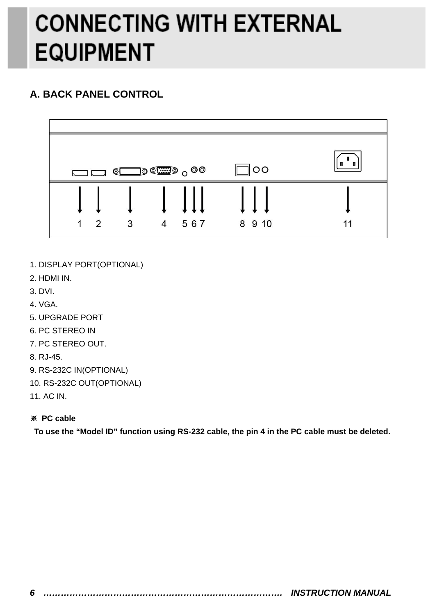## **CONNECTING WITH EXTERNAL EQUIPMENT**

### **A. BACK PANEL CONTROL**



- 1. DISPLAY PORT(OPTIONAL)
- 2. HDMI IN.
- 3. DVI.
- 4. VGA.
- 5. UPGRADE PORT
- 6. PC STEREO IN
- 7. PC STEREO OUT.
- 8. RJ-45.
- 9. RS-232C IN(OPTIONAL)
- 10. RS-232C OUT(OPTIONAL)
- 11. AC IN.

#### ※ **PC cable**

**To use the "Model ID" function using RS-232 cable, the pin 4 in the PC cable must be deleted.**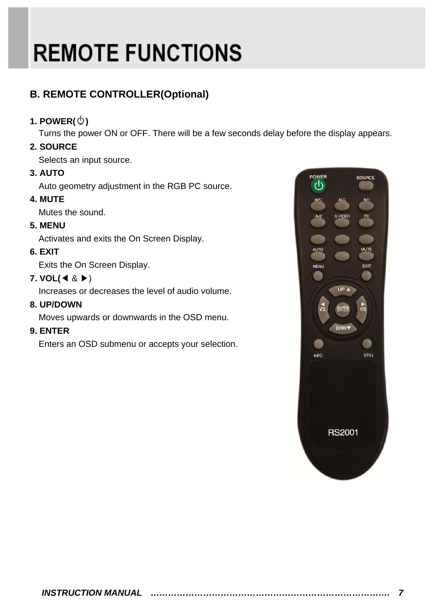# **REMOTE FUNCTIONS**

### **B. REMOTE CONTROLLER(Optional)**

#### **1. POWER( )**

Turns the power ON or OFF. There will be a few seconds delay before the display appears.

#### **2. SOURCE**

Selects an input source.

#### **3. AUTO**

Auto geometry adjustment in the RGB PC source.

#### **4. MUTE**

Mutes the sound.

#### **5. MENU**

Activates and exits the On Screen Display.

#### **6. EXIT**

Exits the On Screen Display.

#### **7. VOL(**◀ & ▶)

Increases or decreases the level of audio volume.

#### **8. UP/DOWN**

Moves upwards or downwards in the OSD menu.

#### **9. ENTER**

Enters an OSD submenu or accepts your selection.

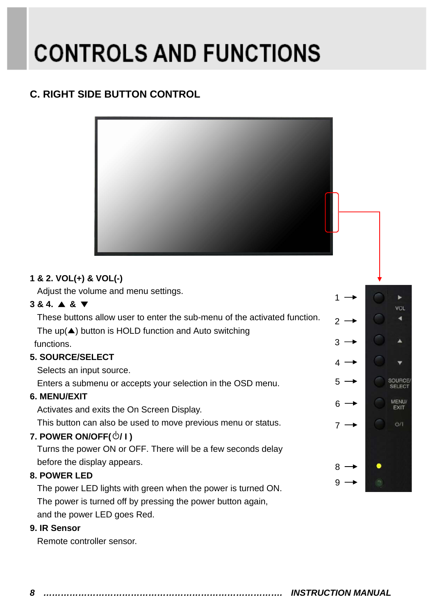### **C. RIGHT SIDE BUTTON CONTROL**



#### **1 & 2. VOL(+) & VOL(-)**

Adjust the volume and menu settings.

#### **3 & 4.** ▲ **&** ▼

These buttons allow user to enter the sub-menu of the activated function. The  $up(\blacktriangle)$  button is HOLD function and Auto switching functions.

#### **5. SOURCE/SELECT**

Selects an input source.

Enters a submenu or accepts your selection in the OSD menu.

#### **6. MENU/EXIT**

Activates and exits the On Screen Display.

This button can also be used to move previous menu or status.

#### **7. POWER ON/OFF( / I )**

Turns the power ON or OFF. There will be a few seconds delay before the display appears.

#### **8. POWER LED**

The power LED lights with green when the power is turned ON. The power is turned off by pressing the power button again,

and the power LED goes Red.

#### **9. IR Sensor**

Remote controller sensor.

|   | L                        |
|---|--------------------------|
| 1 | <b>VOL</b>               |
| 2 |                          |
| 3 |                          |
| 4 |                          |
| 5 | SOURCE/<br><b>SELECT</b> |
| 6 | MENU/<br><b>EXIT</b>     |
| 7 | O/1                      |
|   |                          |
| 8 |                          |
| 9 |                          |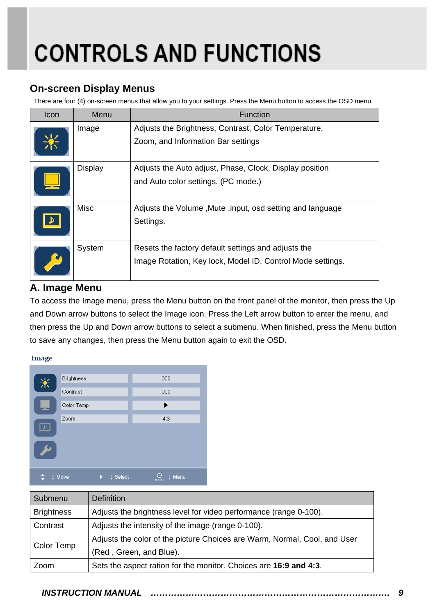#### **On-screen Display Menus**

There are four (4) on-screen menus that allow you to your settings. Press the Menu button to access the OSD menu.

| Icon | Menu           | Function                                                                                                          |
|------|----------------|-------------------------------------------------------------------------------------------------------------------|
|      | Image          | Adjusts the Brightness, Contrast, Color Temperature,<br>Zoom, and Information Bar settings                        |
|      | <b>Display</b> | Adjusts the Auto adjust, Phase, Clock, Display position<br>and Auto color settings. (PC mode.)                    |
|      | Misc           | Adjusts the Volume, Mute, input, osd setting and language<br>Settings.                                            |
|      | System         | Resets the factory default settings and adjusts the<br>Image Rotation, Key lock, Model ID, Control Mode settings. |

### **A. Image Menu**

To access the Image menu, press the Menu button on the front panel of the monitor, then press the Up and Down arrow buttons to select the Image icon. Press the Left arrow button to enter the menu, and then press the Up and Down arrow buttons to select a submenu. When finished, press the Menu button to save any changes, then press the Menu button again to exit the OSD.

#### Image

| 米                                    | <b>Brightness</b> |          | 000                               |
|--------------------------------------|-------------------|----------|-----------------------------------|
|                                      | Contrast          |          | 000                               |
|                                      | Color Temp.       |          | ь                                 |
| $\mathcal{P}$<br><b>PARTICIPALES</b> | Zoom              |          | 4:3                               |
|                                      | : Move            | : Select | : Menu<br>$m$ $\bar{\epsilon}$ nu |

| Submenu           | <b>Definition</b>                                                         |
|-------------------|---------------------------------------------------------------------------|
| <b>Brightness</b> | Adjusts the brightness level for video performance (range 0-100).         |
| Contrast          | Adjusts the intensity of the image (range 0-100).                         |
|                   | Adjusts the color of the picture Choices are Warm, Normal, Cool, and User |
| Color Temp        | (Red, Green, and Blue).                                                   |
| Zoom              | Sets the aspect ration for the monitor. Choices are 16:9 and 4:3.         |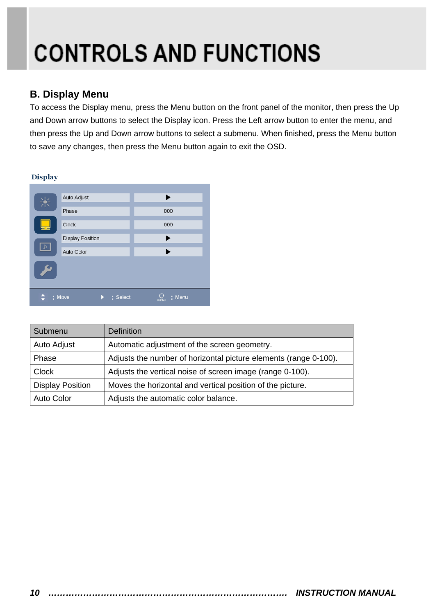#### **B. Display Menu**

To access the Display menu, press the Menu button on the front panel of the monitor, then press the Up and Down arrow buttons to select the Display icon. Press the Left arrow button to enter the menu, and then press the Up and Down arrow buttons to select a submenu. When finished, press the Menu button to save any changes, then press the Menu button again to exit the OSD.

#### **Display**

| 米                    | Auto Adjust             | ▶              |
|----------------------|-------------------------|----------------|
|                      | Phase                   | 000            |
|                      | Clock                   | 000            |
|                      | <b>Display Position</b> | ▶              |
| $\blacktriangle$     | Auto Color              | ▶              |
| <b>All Contracts</b> |                         |                |
|                      | : Move<br>: Select      | : Menu<br>menu |

| Submenu                 | <b>Definition</b>                                                |
|-------------------------|------------------------------------------------------------------|
| Auto Adjust             | Automatic adjustment of the screen geometry.                     |
| Phase                   | Adjusts the number of horizontal picture elements (range 0-100). |
| <b>Clock</b>            | Adjusts the vertical noise of screen image (range 0-100).        |
| <b>Display Position</b> | Moves the horizontal and vertical position of the picture.       |
| <b>Auto Color</b>       | Adjusts the automatic color balance.                             |

I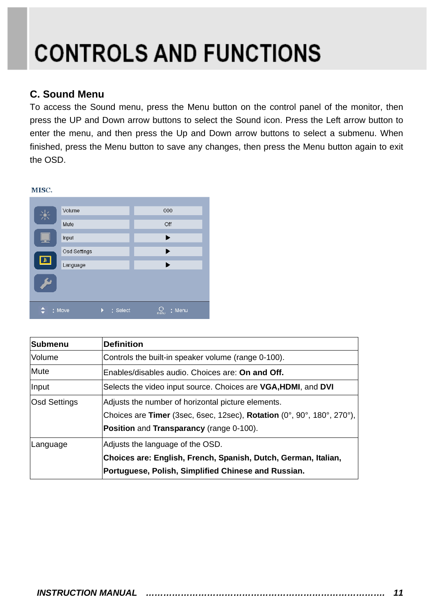#### **C. Sound Menu**

 $77700$ 

To access the Sound menu, press the Menu button on the control panel of the monitor, then press the UP and Down arrow buttons to select the Sound icon. Press the Left arrow button to enter the menu, and then press the Up and Down arrow buttons to select a submenu. When finished, press the Menu button to save any changes, then press the Menu button again to exit the OSD.

| MISC.                   |              |          |                       |
|-------------------------|--------------|----------|-----------------------|
|                         |              |          |                       |
|                         | Volume       |          | 000                   |
| 浂                       | Mute         |          | Off                   |
|                         |              |          |                       |
| --                      | Input        |          | ▶                     |
|                         | Osd Settings |          | ▶                     |
| $\overline{\mathbf{z}}$ | Language     |          | ▶                     |
| ىك                      |              |          |                       |
|                         | : Move       | : Select | : Menu<br><b>MENU</b> |

| Submenu      | <b>Definition</b>                                                             |  |
|--------------|-------------------------------------------------------------------------------|--|
| Volume       | Controls the built-in speaker volume (range 0-100).                           |  |
| <b>Mute</b>  | Enables/disables audio. Choices are: On and Off.                              |  |
| Input        | Selects the video input source. Choices are <b>VGA, HDMI</b> , and <b>DVI</b> |  |
| Osd Settings | Adjusts the number of horizontal picture elements.                            |  |
|              | Choices are Timer (3sec, 6sec, 12sec), Rotation (0°, 90°, 180°, 270°),        |  |
|              | Position and Transparancy (range 0-100).                                      |  |
| Language     | Adjusts the language of the OSD.                                              |  |
|              | Choices are: English, French, Spanish, Dutch, German, Italian,                |  |
|              | Portuguese, Polish, Simplified Chinese and Russian.                           |  |

#### *INSTRUCTION MANUAL ………………………………………………………………………. 11*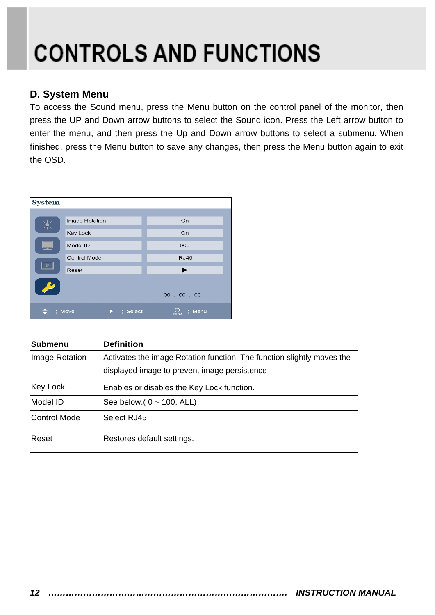#### **D. System Menu**

To access the Sound menu, press the Menu button on the control panel of the monitor, then press the UP and Down arrow buttons to select the Sound icon. Press the Left arrow button to enter the menu, and then press the Up and Down arrow buttons to select a submenu. When finished, press the Menu button to save any changes, then press the Menu button again to exit the OSD.



| <b>Submenu</b> | <b>Definition</b>                                                      |
|----------------|------------------------------------------------------------------------|
| Image Rotation | Activates the image Rotation function. The function slightly moves the |
|                | displayed image to prevent image persistence                           |
| Key Lock       | Enables or disables the Key Lock function.                             |
| Model ID       | See below.( $0 \sim 100$ , ALL)                                        |
| Control Mode   | Select RJ45                                                            |
| Reset          | Restores default settings.                                             |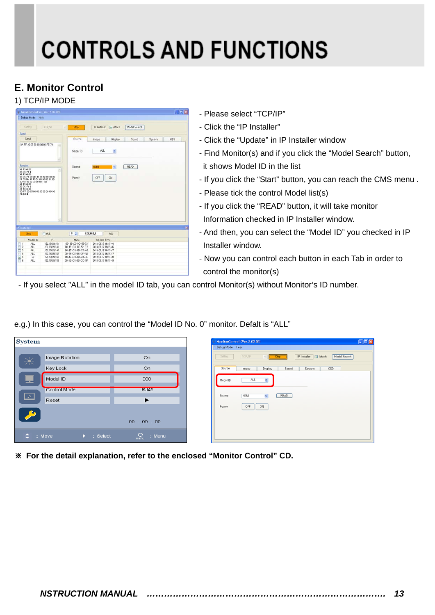### **E. Monitor Control**

#### 1) TCP/IP MODE

| E Debug Mode                                                                                                   | Help                              |                                                                                      |                      |
|----------------------------------------------------------------------------------------------------------------|-----------------------------------|--------------------------------------------------------------------------------------|----------------------|
|                                                                                                                |                                   |                                                                                      |                      |
| Satting                                                                                                        | TCR/IP                            | P Installer<br>Model Search<br>Stop<br><b>D</b> Attach<br>u                          |                      |
| Send                                                                                                           |                                   |                                                                                      |                      |
| Send                                                                                                           |                                   | Source<br>Display<br>Sound<br>Image                                                  | <b>OSD</b><br>System |
| (IA FF 20 65 80 80 00 00 FE 74                                                                                 |                                   |                                                                                      |                      |
|                                                                                                                |                                   | ALL<br>٥<br>Model ID                                                                 |                      |
|                                                                                                                |                                   |                                                                                      |                      |
|                                                                                                                |                                   |                                                                                      |                      |
| Receive                                                                                                        |                                   | READ<br>Source<br>HOMI<br>M                                                          |                      |
| 41 43 48 5<br>03 DC F1 0                                                                                       |                                   |                                                                                      |                      |
| 41 43 48 8<br>03 0C F1 09 00 41 46 52 00 00 00                                                                 |                                   | OFF<br>ON<br>Power                                                                   |                      |
| 11 09 00 41 46 52 00 00 00 11 09<br>00 41 46 52 00 00 00 11 0                                                  |                                   |                                                                                      |                      |
|                                                                                                                |                                   |                                                                                      |                      |
|                                                                                                                |                                   |                                                                                      |                      |
| 41 43 48 8<br>03 00 F1 8<br>41 43 48 8                                                                         |                                   |                                                                                      |                      |
|                                                                                                                |                                   |                                                                                      |                      |
|                                                                                                                |                                   |                                                                                      |                      |
|                                                                                                                |                                   |                                                                                      |                      |
|                                                                                                                |                                   |                                                                                      |                      |
|                                                                                                                |                                   |                                                                                      |                      |
|                                                                                                                | Q.                                |                                                                                      |                      |
|                                                                                                                |                                   |                                                                                      |                      |
| Stop <sup>1</sup>                                                                                              | $\Box$ ALL                        | 127, 0, 0, 1<br>$\left 0\right $<br>Add                                              |                      |
| Model ID                                                                                                       | 1D                                | MAC<br>Update Time                                                                   |                      |
| ALL.                                                                                                           | 192 168 9 161                     | 00-TE-C0-8C-55-73<br>2014 03:17 16:15:44                                             |                      |
| ALL.<br>ALL.                                                                                                   | 192, 168, 9, 141<br>192 168 9 140 | 00-1E-C0-8C-52-C7<br>2014.03.17 16:15:46<br>00-1E-C0-8B-C5-A5<br>2014.03.17 16:15:47 |                      |
| 00 FF 20 65 80 06 80 00 00 00 00 00<br>FE EB B<br><b>IP</b> Installer<br>$\Box$<br>Ξz<br>$\Box$ 3<br>口<br>ALL. | 192, 168, 9, 162                  | 00-1E-C0-8B-DF-AD<br>2014 03:17 16:15:47                                             |                      |
| ☑ 5<br>33<br>$\Box$ 6<br>ALL                                                                                   | 192, 168, 9, 160<br>192 168 9 159 | 00-1E-C0-8B-B3-FE<br>2014.03.17 16:15:48<br>00-1E-C0-8B-CC-9F<br>2014.03.17 16:15:49 |                      |

- Please select "TCP/IP"
- Click the "IP Installer"
- Click the "Update" in IP Installer window
- Find Monitor(s) and if you click the "Model Search" button, it shows Model ID in the list
- If you click the "Start" button, you can reach the CMS menu .
- Please tick the control Model list(s)
- If you click the "READ" button, it will take monitor Information checked in IP Installer window.
- And then, you can select the "Model ID" you checked in IP Installer window.
- Now you can control each button in each Tab in order to control the monitor(s)
- If you select "ALL" in the model ID tab, you can control Monitor(s) without Monitor's ID number.

| e.g.) In this case, you can control the "Model ID No. 0" monitor. Defalt is "ALL" |  |
|-----------------------------------------------------------------------------------|--|
|                                                                                   |  |
|                                                                                   |  |

| <b>System</b>                                                             |                                                                        |                                                 | MonitorControl (Ver. 2.02.08)                                                                                                                                                                                                                                           |     |  |
|---------------------------------------------------------------------------|------------------------------------------------------------------------|-------------------------------------------------|-------------------------------------------------------------------------------------------------------------------------------------------------------------------------------------------------------------------------------------------------------------------------|-----|--|
| 崇<br>느<br>⊡<br><b>S</b>                                                   | Image Rotation<br>Key Lock<br>Model ID<br><b>Control Mode</b><br>Reset | On<br>On<br>000<br><b>RJ45</b><br>▶<br>00.00.00 | : Debug Mode Help<br>IP Installer 2 Attach<br>Setting<br>TCP/IP<br>Model Search<br><b>Stop</b><br>Source<br>0SD<br><b>Display</b><br>Sound<br>Image<br>System<br>$\hat{\mathbf{u}}$<br>ALL.<br>Model ID<br>HDMI<br>READ<br>Source<br>$\check{}\;$<br>OFF<br>ON<br>Power | EER |  |
| $Q_{\rm mm}$<br>$\div$ : Move<br>: Menu<br>$\blacktriangleright$ : Select |                                                                        |                                                 |                                                                                                                                                                                                                                                                         |     |  |

※ **For the detail explanation, refer to the enclosed "Monitor Control" CD.**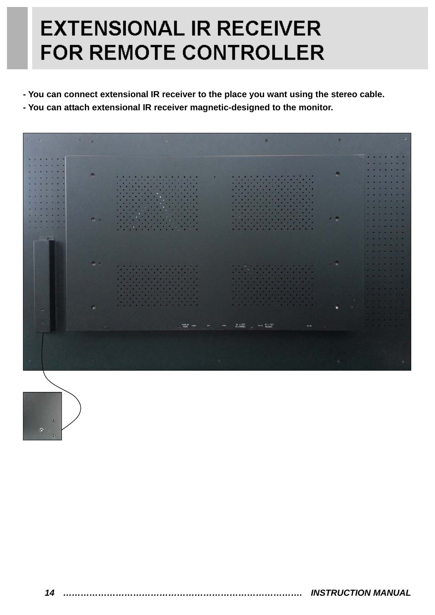### **EXTENSIONAL IR RECEIVER FOR REMOTE CONTROLLER**

- **You can connect extensional IR receiver to the place you want using the stereo cable.**
- **You can attach extensional IR receiver magnetic-designed to the monitor.**



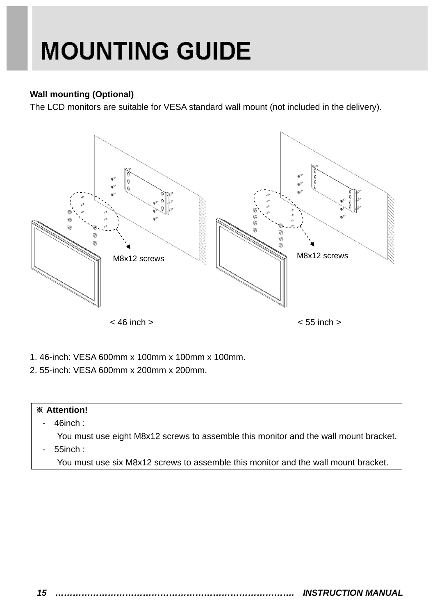## **MOUNTING GUIDE**

#### **Wall mounting (Optional)**

The LCD monitors are suitable for VESA standard wall mount (not included in the delivery).



- 1. 46-inch: VESA 600mm x 100mm x 100mm x 100mm.
- 2. 55-inch: VESA 600mm x 200mm x 200mm.

### ※ **Attention!**  - 46inch : You must use eight M8x12 screws to assemble this monitor and the wall mount bracket.

- 55inch :
	- You must use six M8x12 screws to assemble this monitor and the wall mount bracket.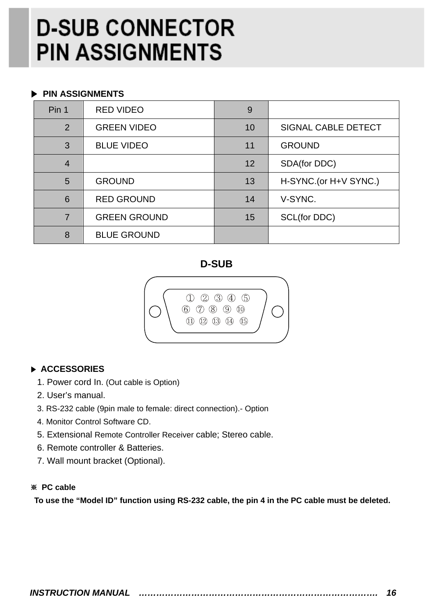## **D-SUB CONNECTOR PIN ASSIGNMENTS**

#### ▶ **PIN ASSIGNMENTS**

| Pin 1          | <b>RED VIDEO</b>    | 9  |                            |
|----------------|---------------------|----|----------------------------|
| 2              | <b>GREEN VIDEO</b>  | 10 | <b>SIGNAL CABLE DETECT</b> |
| 3              | <b>BLUE VIDEO</b>   | 11 | <b>GROUND</b>              |
| $\overline{4}$ |                     | 12 | SDA(for DDC)               |
| 5              | <b>GROUND</b>       | 13 | H-SYNC.(or H+V SYNC.)      |
| 6              | <b>RED GROUND</b>   | 14 | V-SYNC.                    |
| $\overline{7}$ | <b>GREEN GROUND</b> | 15 | SCL(for DDC)               |
| 8              | <b>BLUE GROUND</b>  |    |                            |

#### **D-SUB**

![](_page_17_Picture_4.jpeg)

#### ▶ **ACCESSORIES**

- 1. Power cord In. (Out cable is Option)
- 2. User's manual.
- 3. RS-232 cable (9pin male to female: direct connection).- Option
- 4. Monitor Control Software CD.
- 5. Extensional Remote Controller Receiver cable; Stereo cable.
- 6. Remote controller & Batteries.
- 7. Wall mount bracket (Optional).

#### ※ **PC cable**

**To use the "Model ID" function using RS-232 cable, the pin 4 in the PC cable must be deleted.**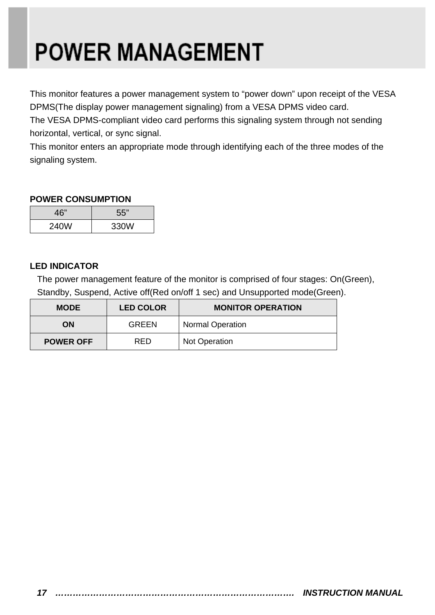# **POWER MANAGEMENT**

This monitor features a power management system to "power down" upon receipt of the VESA DPMS(The display power management signaling) from a VESA DPMS video card.

The VESA DPMS-compliant video card performs this signaling system through not sending horizontal, vertical, or sync signal.

This monitor enters an appropriate mode through identifying each of the three modes of the signaling system.

#### **POWER CONSUMPTION**

| 46"  | 55"  |
|------|------|
| 240W | 330W |

#### **LED INDICATOR**

The power management feature of the monitor is comprised of four stages: On(Green), Standby, Suspend, Active off(Red on/off 1 sec) and Unsupported mode(Green).

| <b>MODE</b>                    | <b>LED COLOR</b> | <b>MONITOR OPERATION</b> |  |
|--------------------------------|------------------|--------------------------|--|
| OΝ                             | <b>GREEN</b>     | <b>Normal Operation</b>  |  |
| <b>RED</b><br><b>POWER OFF</b> |                  | <b>Not Operation</b>     |  |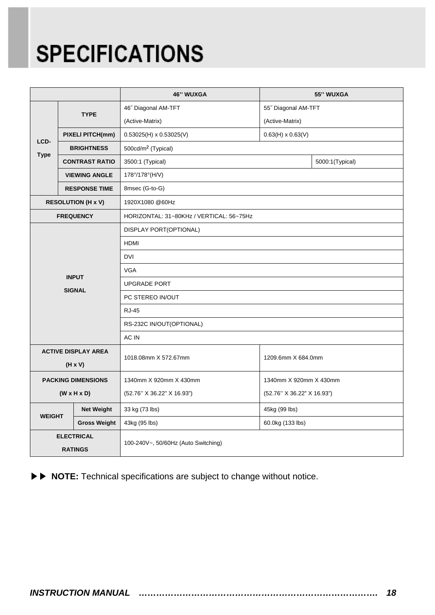## **SPECIFICATIONS**

|                                              |                           | <b>46" WUXGA</b>                         |                            | 55" WUXGA       |  |
|----------------------------------------------|---------------------------|------------------------------------------|----------------------------|-----------------|--|
| LCD-<br><b>Type</b>                          |                           | 46" Diagonal AM-TFT                      | 55" Diagonal AM-TFT        |                 |  |
|                                              | <b>TYPE</b>               | (Active-Matrix)                          | (Active-Matrix)            |                 |  |
|                                              | <b>PIXELI PITCH(mm)</b>   | $0.53025(H) \times 0.53025(V)$           | $0.63(H) \times 0.63(V)$   |                 |  |
|                                              | <b>BRIGHTNESS</b>         | 500cd/m <sup>2</sup> (Typical)           |                            |                 |  |
|                                              | <b>CONTRAST RATIO</b>     | 3500:1 (Typical)                         |                            | 5000:1(Typical) |  |
|                                              | <b>VIEWING ANGLE</b>      | 178°/178°(H/V)                           |                            |                 |  |
|                                              | <b>RESPONSE TIME</b>      | 8msec (G-to-G)                           |                            |                 |  |
|                                              | <b>RESOLUTION (H x V)</b> | 1920X1080 @60Hz                          |                            |                 |  |
| <b>FREQUENCY</b>                             |                           | HORIZONTAL: 31~80KHz / VERTICAL: 56~75Hz |                            |                 |  |
|                                              |                           | DISPLAY PORT(OPTIONAL)                   |                            |                 |  |
|                                              |                           | <b>HDMI</b>                              |                            |                 |  |
|                                              |                           | <b>DVI</b>                               |                            |                 |  |
|                                              | <b>INPUT</b>              | <b>VGA</b>                               |                            |                 |  |
|                                              | <b>SIGNAL</b>             | <b>UPGRADE PORT</b>                      |                            |                 |  |
|                                              |                           | PC STEREO IN/OUT                         |                            |                 |  |
|                                              |                           | <b>RJ-45</b>                             |                            |                 |  |
|                                              |                           | RS-232C IN/OUT(OPTIONAL)                 |                            |                 |  |
|                                              |                           | AC IN                                    |                            |                 |  |
| <b>ACTIVE DISPLAY AREA</b><br>$(H \times V)$ |                           | 1018.08mm X 572.67mm                     | 1209.6mm X 684.0mm         |                 |  |
| <b>PACKING DIMENSIONS</b>                    |                           | 1340mm X 920mm X 430mm                   | 1340mm X 920mm X 430mm     |                 |  |
| $(W \times H \times D)$                      |                           | (52.76" X 36.22" X 16.93")               | (52.76" X 36.22" X 16.93") |                 |  |
| <b>WEIGHT</b>                                | <b>Net Weight</b>         | 33 kg (73 lbs)                           | 45kg (99 lbs)              |                 |  |
|                                              | <b>Gross Weight</b>       | 43kg (95 lbs)                            | 60.0kg (133 lbs)           |                 |  |
| <b>ELECTRICAL</b><br><b>RATINGS</b>          |                           | 100-240V~, 50/60Hz (Auto Switching)      |                            |                 |  |

▶▶ **NOTE:** Technical specifications are subject to change without notice.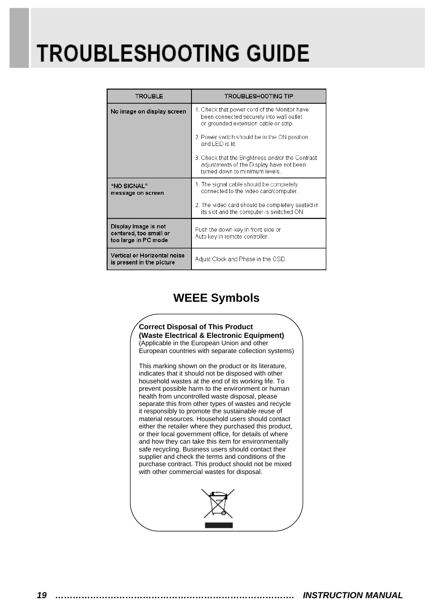## **TROUBLESHOOTING GUIDE**

| <b>TROUBLE</b>                                                         | <b>TROUBLESHOOTING TIP</b>                                                                                                        |  |
|------------------------------------------------------------------------|-----------------------------------------------------------------------------------------------------------------------------------|--|
| No image on display screen                                             | 1. Check that power cord of the Monitor have<br>been connected securely into wall outlet<br>or grounded extension cable or strip. |  |
|                                                                        | 2. Power switch should be in the ON position<br>and LED is lit.                                                                   |  |
|                                                                        | 3. Check that the Brightness and/or the Contrast<br>adjustments of the Display have not been<br>turned down to minimum levels.    |  |
| "NO SIGNAL"<br>message on screen                                       | 1. The signal cable should be completely<br>connected to the video card/computer.                                                 |  |
|                                                                        | 2. The video card should be completely seated in<br>its slot and the computer is switched ON.                                     |  |
| Display image is not<br>centered, too small or<br>too large in PC mode | Push the down key in front side or<br>Auto key in remote controller.                                                              |  |
| Vertical or Horizontal noise<br>is present in the picture              | Adjust Clock and Phase in the OSD.                                                                                                |  |

### **WEEE Symbols**

![](_page_20_Picture_3.jpeg)